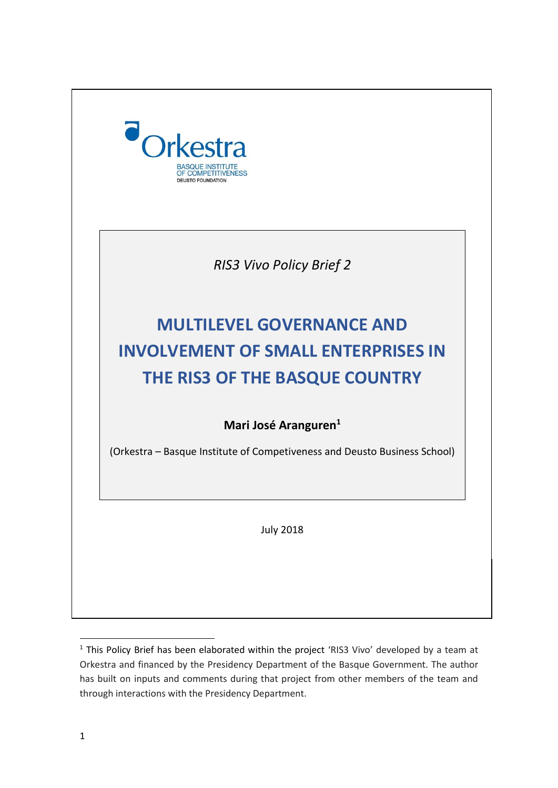

 $1$  This Policy Brief has been elaborated within the project 'RIS3 Vivo' developed by a team at Orkestra and financed by the Presidency Department of the Basque Government. The author has built on inputs and comments during that project from other members of the team and through interactions with the Presidency Department.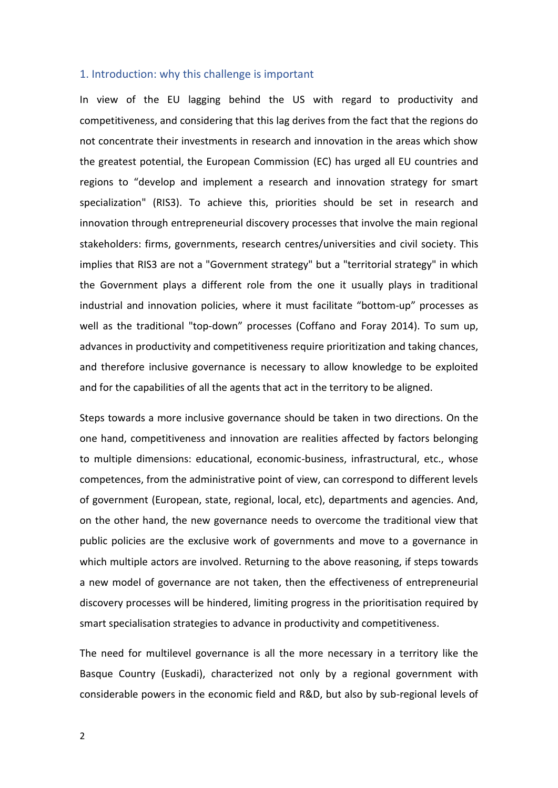## 1. Introduction: why this challenge is important

In view of the EU lagging behind the US with regard to productivity and competitiveness, and considering that this lag derives from the fact that the regions do not concentrate their investments in research and innovation in the areas which show the greatest potential, the European Commission (EC) has urged all EU countries and regions to "develop and implement a research and innovation strategy for smart specialization" (RIS3). To achieve this, priorities should be set in research and innovation through entrepreneurial discovery processes that involve the main regional stakeholders: firms, governments, research centres/universities and civil society. This implies that RIS3 are not a "Government strategy" but a "territorial strategy" in which the Government plays a different role from the one it usually plays in traditional industrial and innovation policies, where it must facilitate "bottom-up" processes as well as the traditional "top-down" processes (Coffano and Foray 2014). To sum up, advances in productivity and competitiveness require prioritization and taking chances, and therefore inclusive governance is necessary to allow knowledge to be exploited and for the capabilities of all the agents that act in the territory to be aligned.

Steps towards a more inclusive governance should be taken in two directions. On the one hand, competitiveness and innovation are realities affected by factors belonging to multiple dimensions: educational, economic-business, infrastructural, etc., whose competences, from the administrative point of view, can correspond to different levels of government (European, state, regional, local, etc), departments and agencies. And, on the other hand, the new governance needs to overcome the traditional view that public policies are the exclusive work of governments and move to a governance in which multiple actors are involved. Returning to the above reasoning, if steps towards a new model of governance are not taken, then the effectiveness of entrepreneurial discovery processes will be hindered, limiting progress in the prioritisation required by smart specialisation strategies to advance in productivity and competitiveness.

The need for multilevel governance is all the more necessary in a territory like the Basque Country (Euskadi), characterized not only by a regional government with considerable powers in the economic field and R&D, but also by sub-regional levels of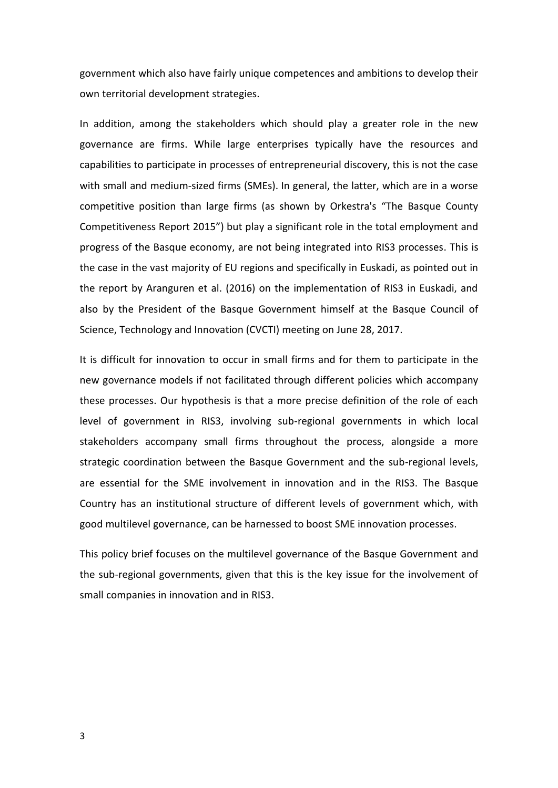government which also have fairly unique competences and ambitions to develop their own territorial development strategies.

In addition, among the stakeholders which should play a greater role in the new governance are firms. While large enterprises typically have the resources and capabilities to participate in processes of entrepreneurial discovery, this is not the case with small and medium-sized firms (SMEs). In general, the latter, which are in a worse competitive position than large firms (as shown by Orkestra's "The Basque County Competitiveness Report 2015") but play a significant role in the total employment and progress of the Basque economy, are not being integrated into RIS3 processes. This is the case in the vast majority of EU regions and specifically in Euskadi, as pointed out in the report by Aranguren et al. (2016) on the implementation of RIS3 in Euskadi, and also by the President of the Basque Government himself at the Basque Council of Science, Technology and Innovation (CVCTI) meeting on June 28, 2017.

It is difficult for innovation to occur in small firms and for them to participate in the new governance models if not facilitated through different policies which accompany these processes. Our hypothesis is that a more precise definition of the role of each level of government in RIS3, involving sub-regional governments in which local stakeholders accompany small firms throughout the process, alongside a more strategic coordination between the Basque Government and the sub-regional levels, are essential for the SME involvement in innovation and in the RIS3. The Basque Country has an institutional structure of different levels of government which, with good multilevel governance, can be harnessed to boost SME innovation processes.

This policy brief focuses on the multilevel governance of the Basque Government and the sub-regional governments, given that this is the key issue for the involvement of small companies in innovation and in RIS3.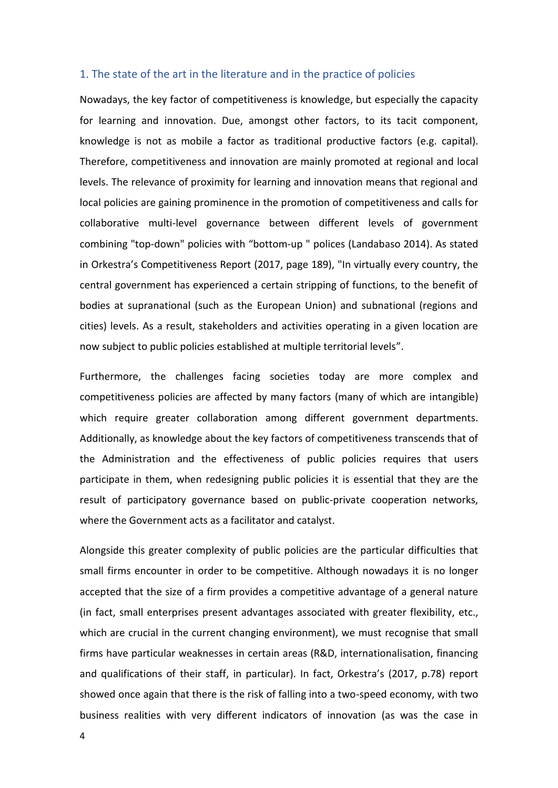## 1. The state of the art in the literature and in the practice of policies

Nowadays, the key factor of competitiveness is knowledge, but especially the capacity for learning and innovation. Due, amongst other factors, to its tacit component, knowledge is not as mobile a factor as traditional productive factors (e.g. capital). Therefore, competitiveness and innovation are mainly promoted at regional and local levels. The relevance of proximity for learning and innovation means that regional and local policies are gaining prominence in the promotion of competitiveness and calls for collaborative multi-level governance between different levels of government combining "top-down" policies with "bottom-up " polices (Landabaso 2014). As stated in Orkestra's Competitiveness Report (2017, page 189), "In virtually every country, the central government has experienced a certain stripping of functions, to the benefit of bodies at supranational (such as the European Union) and subnational (regions and cities) levels. As a result, stakeholders and activities operating in a given location are now subject to public policies established at multiple territorial levels".

Furthermore, the challenges facing societies today are more complex and competitiveness policies are affected by many factors (many of which are intangible) which require greater collaboration among different government departments. Additionally, as knowledge about the key factors of competitiveness transcends that of the Administration and the effectiveness of public policies requires that users participate in them, when redesigning public policies it is essential that they are the result of participatory governance based on public-private cooperation networks, where the Government acts as a facilitator and catalyst.

Alongside this greater complexity of public policies are the particular difficulties that small firms encounter in order to be competitive. Although nowadays it is no longer accepted that the size of a firm provides a competitive advantage of a general nature (in fact, small enterprises present advantages associated with greater flexibility, etc., which are crucial in the current changing environment), we must recognise that small firms have particular weaknesses in certain areas (R&D, internationalisation, financing and qualifications of their staff, in particular). In fact, Orkestra's (2017, p.78) report showed once again that there is the risk of falling into a two-speed economy, with two business realities with very different indicators of innovation (as was the case in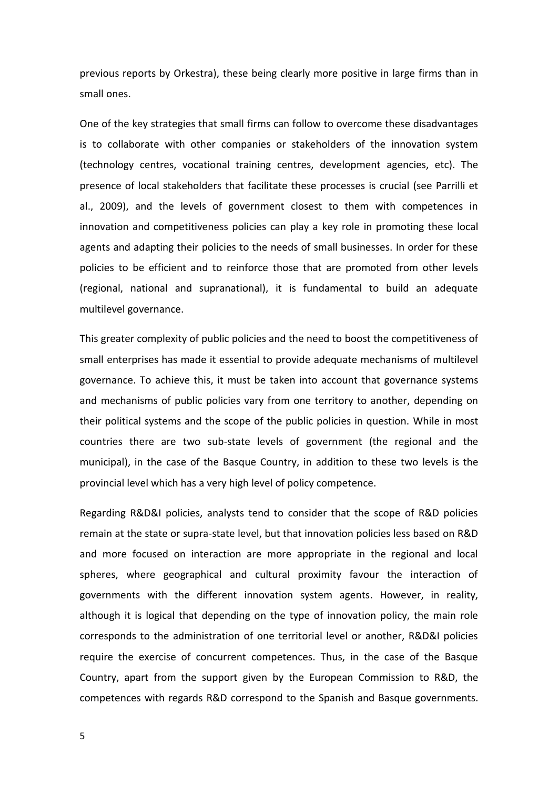previous reports by Orkestra), these being clearly more positive in large firms than in small ones.

One of the key strategies that small firms can follow to overcome these disadvantages is to collaborate with other companies or stakeholders of the innovation system (technology centres, vocational training centres, development agencies, etc). The presence of local stakeholders that facilitate these processes is crucial (see Parrilli et al., 2009), and the levels of government closest to them with competences in innovation and competitiveness policies can play a key role in promoting these local agents and adapting their policies to the needs of small businesses. In order for these policies to be efficient and to reinforce those that are promoted from other levels (regional, national and supranational), it is fundamental to build an adequate multilevel governance.

This greater complexity of public policies and the need to boost the competitiveness of small enterprises has made it essential to provide adequate mechanisms of multilevel governance. To achieve this, it must be taken into account that governance systems and mechanisms of public policies vary from one territory to another, depending on their political systems and the scope of the public policies in question. While in most countries there are two sub-state levels of government (the regional and the municipal), in the case of the Basque Country, in addition to these two levels is the provincial level which has a very high level of policy competence.

Regarding R&D&I policies, analysts tend to consider that the scope of R&D policies remain at the state or supra-state level, but that innovation policies less based on R&D and more focused on interaction are more appropriate in the regional and local spheres, where geographical and cultural proximity favour the interaction of governments with the different innovation system agents. However, in reality, although it is logical that depending on the type of innovation policy, the main role corresponds to the administration of one territorial level or another, R&D&I policies require the exercise of concurrent competences. Thus, in the case of the Basque Country, apart from the support given by the European Commission to R&D, the competences with regards R&D correspond to the Spanish and Basque governments.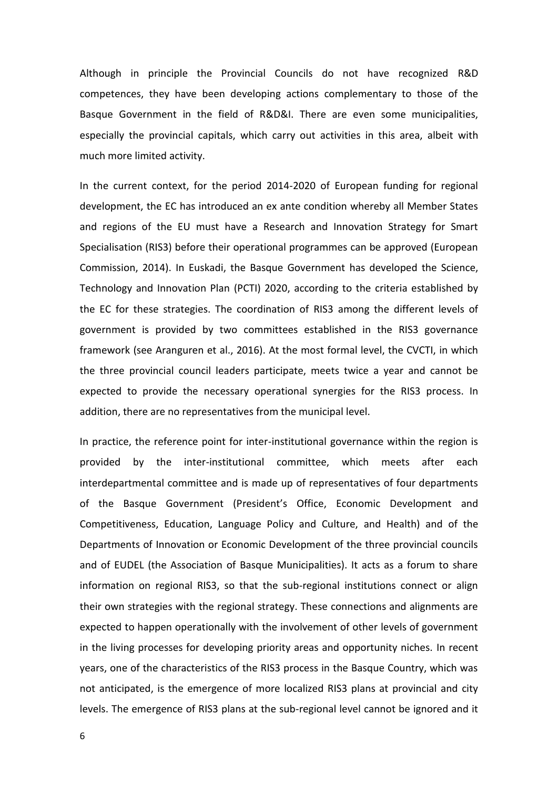Although in principle the Provincial Councils do not have recognized R&D competences, they have been developing actions complementary to those of the Basque Government in the field of R&D&I. There are even some municipalities, especially the provincial capitals, which carry out activities in this area, albeit with much more limited activity.

In the current context, for the period 2014-2020 of European funding for regional development, the EC has introduced an ex ante condition whereby all Member States and regions of the EU must have a Research and Innovation Strategy for Smart Specialisation (RIS3) before their operational programmes can be approved (European Commission, 2014). In Euskadi, the Basque Government has developed the Science, Technology and Innovation Plan (PCTI) 2020, according to the criteria established by the EC for these strategies. The coordination of RIS3 among the different levels of government is provided by two committees established in the RIS3 governance framework (see Aranguren et al., 2016). At the most formal level, the CVCTI, in which the three provincial council leaders participate, meets twice a year and cannot be expected to provide the necessary operational synergies for the RIS3 process. In addition, there are no representatives from the municipal level.

In practice, the reference point for inter-institutional governance within the region is provided by the inter-institutional committee, which meets after each interdepartmental committee and is made up of representatives of four departments of the Basque Government (President's Office, Economic Development and Competitiveness, Education, Language Policy and Culture, and Health) and of the Departments of Innovation or Economic Development of the three provincial councils and of EUDEL (the Association of Basque Municipalities). It acts as a forum to share information on regional RIS3, so that the sub-regional institutions connect or align their own strategies with the regional strategy. These connections and alignments are expected to happen operationally with the involvement of other levels of government in the living processes for developing priority areas and opportunity niches. In recent years, one of the characteristics of the RIS3 process in the Basque Country, which was not anticipated, is the emergence of more localized RIS3 plans at provincial and city levels. The emergence of RIS3 plans at the sub-regional level cannot be ignored and it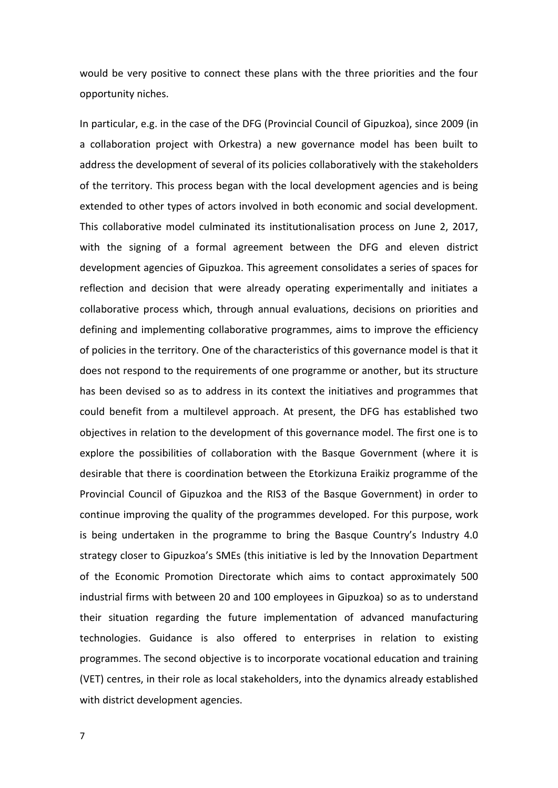would be very positive to connect these plans with the three priorities and the four opportunity niches.

In particular, e.g. in the case of the DFG (Provincial Council of Gipuzkoa), since 2009 (in a collaboration project with Orkestra) a new governance model has been built to address the development of several of its policies collaboratively with the stakeholders of the territory. This process began with the local development agencies and is being extended to other types of actors involved in both economic and social development. This collaborative model culminated its institutionalisation process on June 2, 2017, with the signing of a formal agreement between the DFG and eleven district development agencies of Gipuzkoa. This agreement consolidates a series of spaces for reflection and decision that were already operating experimentally and initiates a collaborative process which, through annual evaluations, decisions on priorities and defining and implementing collaborative programmes, aims to improve the efficiency of policies in the territory. One of the characteristics of this governance model is that it does not respond to the requirements of one programme or another, but its structure has been devised so as to address in its context the initiatives and programmes that could benefit from a multilevel approach. At present, the DFG has established two objectives in relation to the development of this governance model. The first one is to explore the possibilities of collaboration with the Basque Government (where it is desirable that there is coordination between the Etorkizuna Eraikiz programme of the Provincial Council of Gipuzkoa and the RIS3 of the Basque Government) in order to continue improving the quality of the programmes developed. For this purpose, work is being undertaken in the programme to bring the Basque Country's Industry 4.0 strategy closer to Gipuzkoa's SMEs (this initiative is led by the Innovation Department of the Economic Promotion Directorate which aims to contact approximately 500 industrial firms with between 20 and 100 employees in Gipuzkoa) so as to understand their situation regarding the future implementation of advanced manufacturing technologies. Guidance is also offered to enterprises in relation to existing programmes. The second objective is to incorporate vocational education and training (VET) centres, in their role as local stakeholders, into the dynamics already established with district development agencies.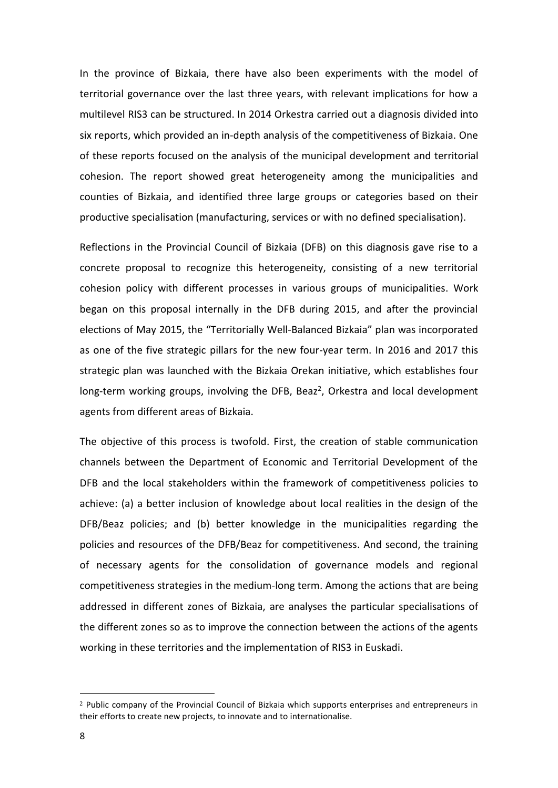In the province of Bizkaia, there have also been experiments with the model of territorial governance over the last three years, with relevant implications for how a multilevel RIS3 can be structured. In 2014 Orkestra carried out a diagnosis divided into six reports, which provided an in-depth analysis of the competitiveness of Bizkaia. One of these reports focused on the analysis of the municipal development and territorial cohesion. The report showed great heterogeneity among the municipalities and counties of Bizkaia, and identified three large groups or categories based on their productive specialisation (manufacturing, services or with no defined specialisation).

Reflections in the Provincial Council of Bizkaia (DFB) on this diagnosis gave rise to a concrete proposal to recognize this heterogeneity, consisting of a new territorial cohesion policy with different processes in various groups of municipalities. Work began on this proposal internally in the DFB during 2015, and after the provincial elections of May 2015, the "Territorially Well-Balanced Bizkaia" plan was incorporated as one of the five strategic pillars for the new four-year term. In 2016 and 2017 this strategic plan was launched with the Bizkaia Orekan initiative, which establishes four long-term working groups, involving the DFB, Beaz<sup>2</sup>, Orkestra and local development agents from different areas of Bizkaia.

The objective of this process is twofold. First, the creation of stable communication channels between the Department of Economic and Territorial Development of the DFB and the local stakeholders within the framework of competitiveness policies to achieve: (a) a better inclusion of knowledge about local realities in the design of the DFB/Beaz policies; and (b) better knowledge in the municipalities regarding the policies and resources of the DFB/Beaz for competitiveness. And second, the training of necessary agents for the consolidation of governance models and regional competitiveness strategies in the medium-long term. Among the actions that are being addressed in different zones of Bizkaia, are analyses the particular specialisations of the different zones so as to improve the connection between the actions of the agents working in these territories and the implementation of RIS3 in Euskadi.

**.** 

<sup>2</sup> Public company of the Provincial Council of Bizkaia which supports enterprises and entrepreneurs in their efforts to create new projects, to innovate and to internationalise.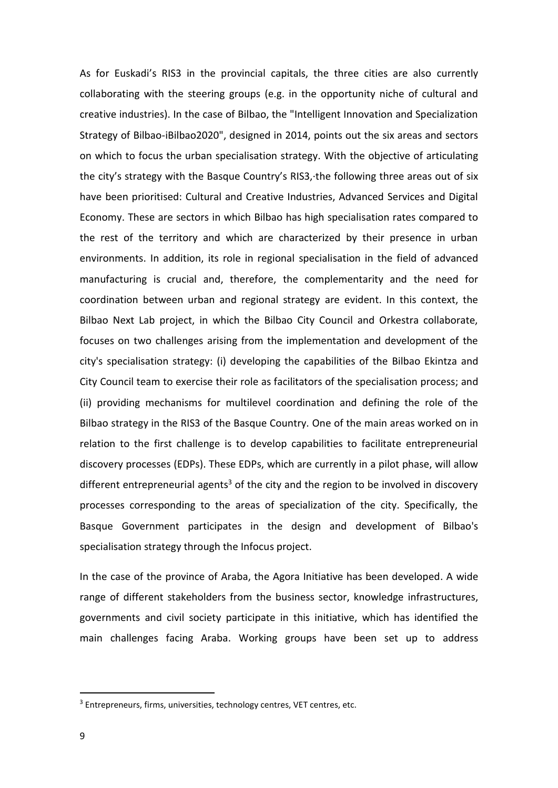As for Euskadi's RIS3 in the provincial capitals, the three cities are also currently collaborating with the steering groups (e.g. in the opportunity niche of cultural and creative industries). In the case of Bilbao, the "Intelligent Innovation and Specialization Strategy of Bilbao-iBilbao2020", designed in 2014, points out the six areas and sectors on which to focus the urban specialisation strategy. With the objective of articulating the city's strategy with the Basque Country's RIS3,·the following three areas out of six have been prioritised: Cultural and Creative Industries, Advanced Services and Digital Economy. These are sectors in which Bilbao has high specialisation rates compared to the rest of the territory and which are characterized by their presence in urban environments. In addition, its role in regional specialisation in the field of advanced manufacturing is crucial and, therefore, the complementarity and the need for coordination between urban and regional strategy are evident. In this context, the Bilbao Next Lab project, in which the Bilbao City Council and Orkestra collaborate, focuses on two challenges arising from the implementation and development of the city's specialisation strategy: (i) developing the capabilities of the Bilbao Ekintza and City Council team to exercise their role as facilitators of the specialisation process; and (ii) providing mechanisms for multilevel coordination and defining the role of the Bilbao strategy in the RIS3 of the Basque Country. One of the main areas worked on in relation to the first challenge is to develop capabilities to facilitate entrepreneurial discovery processes (EDPs). These EDPs, which are currently in a pilot phase, will allow different entrepreneurial agents<sup>3</sup> of the city and the region to be involved in discovery processes corresponding to the areas of specialization of the city. Specifically, the Basque Government participates in the design and development of Bilbao's specialisation strategy through the Infocus project.

In the case of the province of Araba, the Agora Initiative has been developed. A wide range of different stakeholders from the business sector, knowledge infrastructures, governments and civil society participate in this initiative, which has identified the main challenges facing Araba. Working groups have been set up to address

**.** 

<sup>&</sup>lt;sup>3</sup> Entrepreneurs, firms, universities, technology centres, VET centres, etc.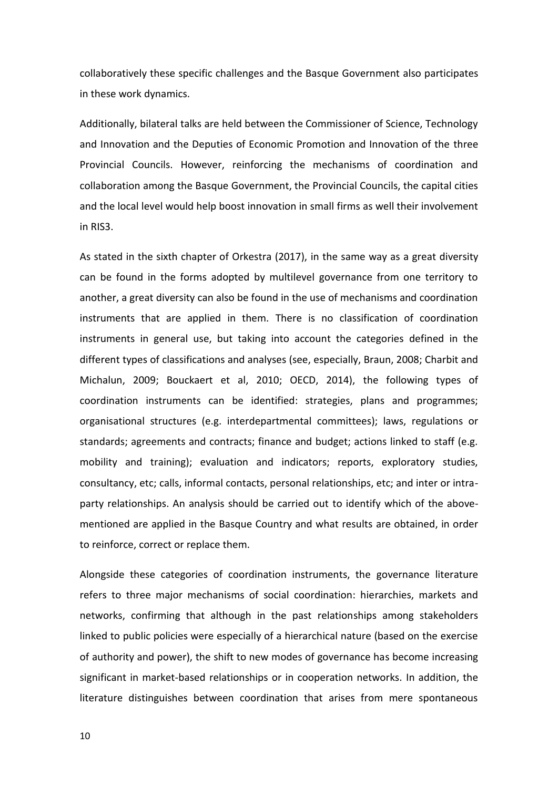collaboratively these specific challenges and the Basque Government also participates in these work dynamics.

Additionally, bilateral talks are held between the Commissioner of Science, Technology and Innovation and the Deputies of Economic Promotion and Innovation of the three Provincial Councils. However, reinforcing the mechanisms of coordination and collaboration among the Basque Government, the Provincial Councils, the capital cities and the local level would help boost innovation in small firms as well their involvement in RIS3.

As stated in the sixth chapter of Orkestra (2017), in the same way as a great diversity can be found in the forms adopted by multilevel governance from one territory to another, a great diversity can also be found in the use of mechanisms and coordination instruments that are applied in them. There is no classification of coordination instruments in general use, but taking into account the categories defined in the different types of classifications and analyses (see, especially, Braun, 2008; Charbit and Michalun, 2009; Bouckaert et al, 2010; OECD, 2014), the following types of coordination instruments can be identified: strategies, plans and programmes; organisational structures (e.g. interdepartmental committees); laws, regulations or standards; agreements and contracts; finance and budget; actions linked to staff (e.g. mobility and training); evaluation and indicators; reports, exploratory studies, consultancy, etc; calls, informal contacts, personal relationships, etc; and inter or intraparty relationships. An analysis should be carried out to identify which of the abovementioned are applied in the Basque Country and what results are obtained, in order to reinforce, correct or replace them.

Alongside these categories of coordination instruments, the governance literature refers to three major mechanisms of social coordination: hierarchies, markets and networks, confirming that although in the past relationships among stakeholders linked to public policies were especially of a hierarchical nature (based on the exercise of authority and power), the shift to new modes of governance has become increasing significant in market-based relationships or in cooperation networks. In addition, the literature distinguishes between coordination that arises from mere spontaneous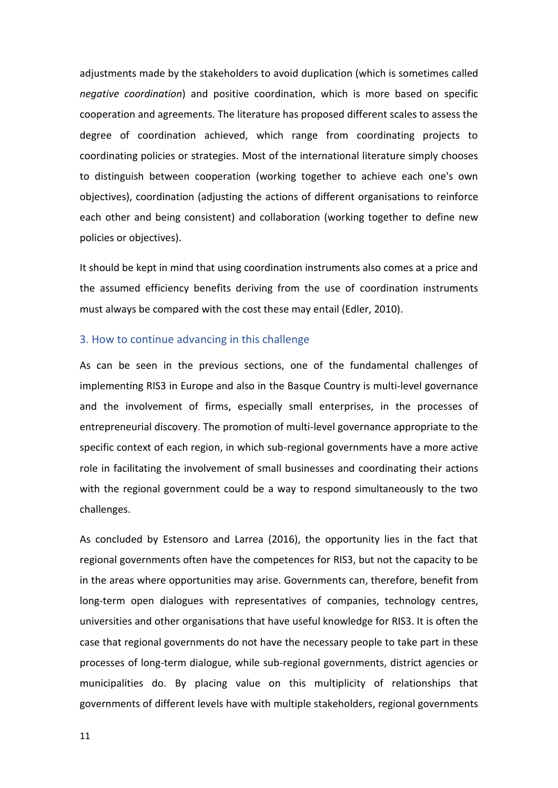adjustments made by the stakeholders to avoid duplication (which is sometimes called *negative coordination*) and positive coordination, which is more based on specific cooperation and agreements. The literature has proposed different scales to assess the degree of coordination achieved, which range from coordinating projects to coordinating policies or strategies. Most of the international literature simply chooses to distinguish between cooperation (working together to achieve each one's own objectives), coordination (adjusting the actions of different organisations to reinforce each other and being consistent) and collaboration (working together to define new policies or objectives).

It should be kept in mind that using coordination instruments also comes at a price and the assumed efficiency benefits deriving from the use of coordination instruments must always be compared with the cost these may entail (Edler, 2010).

## 3. How to continue advancing in this challenge

As can be seen in the previous sections, one of the fundamental challenges of implementing RIS3 in Europe and also in the Basque Country is multi-level governance and the involvement of firms, especially small enterprises, in the processes of entrepreneurial discovery. The promotion of multi-level governance appropriate to the specific context of each region, in which sub-regional governments have a more active role in facilitating the involvement of small businesses and coordinating their actions with the regional government could be a way to respond simultaneously to the two challenges.

As concluded by Estensoro and Larrea (2016), the opportunity lies in the fact that regional governments often have the competences for RIS3, but not the capacity to be in the areas where opportunities may arise. Governments can, therefore, benefit from long-term open dialogues with representatives of companies, technology centres, universities and other organisations that have useful knowledge for RIS3. It is often the case that regional governments do not have the necessary people to take part in these processes of long-term dialogue, while sub-regional governments, district agencies or municipalities do. By placing value on this multiplicity of relationships that governments of different levels have with multiple stakeholders, regional governments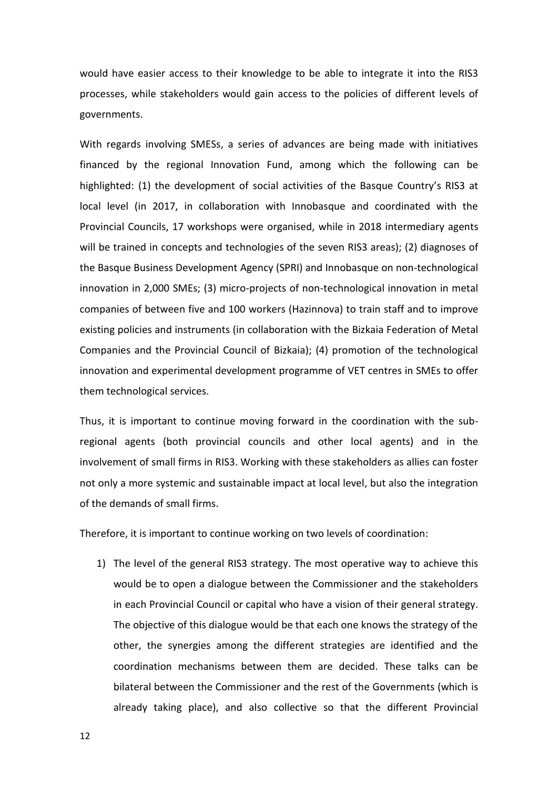would have easier access to their knowledge to be able to integrate it into the RIS3 processes, while stakeholders would gain access to the policies of different levels of governments.

With regards involving SMESs, a series of advances are being made with initiatives financed by the regional Innovation Fund, among which the following can be highlighted: (1) the development of social activities of the Basque Country's RIS3 at local level (in 2017, in collaboration with Innobasque and coordinated with the Provincial Councils, 17 workshops were organised, while in 2018 intermediary agents will be trained in concepts and technologies of the seven RIS3 areas); (2) diagnoses of the Basque Business Development Agency (SPRI) and Innobasque on non-technological innovation in 2,000 SMEs; (3) micro-projects of non-technological innovation in metal companies of between five and 100 workers (Hazinnova) to train staff and to improve existing policies and instruments (in collaboration with the Bizkaia Federation of Metal Companies and the Provincial Council of Bizkaia); (4) promotion of the technological innovation and experimental development programme of VET centres in SMEs to offer them technological services.

Thus, it is important to continue moving forward in the coordination with the subregional agents (both provincial councils and other local agents) and in the involvement of small firms in RIS3. Working with these stakeholders as allies can foster not only a more systemic and sustainable impact at local level, but also the integration of the demands of small firms.

Therefore, it is important to continue working on two levels of coordination:

1) The level of the general RIS3 strategy. The most operative way to achieve this would be to open a dialogue between the Commissioner and the stakeholders in each Provincial Council or capital who have a vision of their general strategy. The objective of this dialogue would be that each one knows the strategy of the other, the synergies among the different strategies are identified and the coordination mechanisms between them are decided. These talks can be bilateral between the Commissioner and the rest of the Governments (which is already taking place), and also collective so that the different Provincial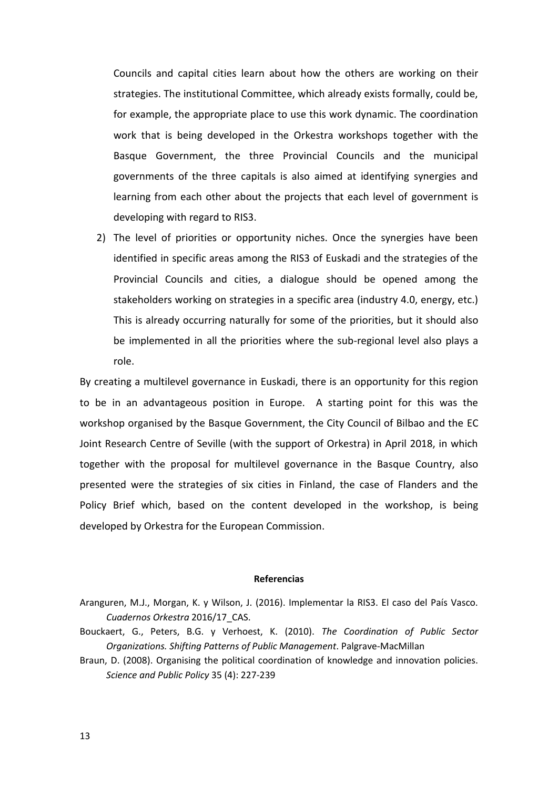Councils and capital cities learn about how the others are working on their strategies. The institutional Committee, which already exists formally, could be, for example, the appropriate place to use this work dynamic. The coordination work that is being developed in the Orkestra workshops together with the Basque Government, the three Provincial Councils and the municipal governments of the three capitals is also aimed at identifying synergies and learning from each other about the projects that each level of government is developing with regard to RIS3.

2) The level of priorities or opportunity niches. Once the synergies have been identified in specific areas among the RIS3 of Euskadi and the strategies of the Provincial Councils and cities, a dialogue should be opened among the stakeholders working on strategies in a specific area (industry 4.0, energy, etc.) This is already occurring naturally for some of the priorities, but it should also be implemented in all the priorities where the sub-regional level also plays a role.

By creating a multilevel governance in Euskadi, there is an opportunity for this region to be in an advantageous position in Europe. A starting point for this was the workshop organised by the Basque Government, the City Council of Bilbao and the EC Joint Research Centre of Seville (with the support of Orkestra) in April 2018, in which together with the proposal for multilevel governance in the Basque Country, also presented were the strategies of six cities in Finland, the case of Flanders and the Policy Brief which, based on the content developed in the workshop, is being developed by Orkestra for the European Commission.

## **Referencias**

- Aranguren, M.J., Morgan, K. y Wilson, J. (2016). Implementar la RIS3. El caso del País Vasco. *Cuadernos Orkestra* 2016/17\_CAS.
- Bouckaert, G., Peters, B.G. y Verhoest, K. (2010). *The Coordination of Public Sector Organizations. Shifting Patterns of Public Management*. Palgrave-MacMillan
- Braun, D. (2008). Organising the political coordination of knowledge and innovation policies. *Science and Public Policy* 35 (4): 227-239